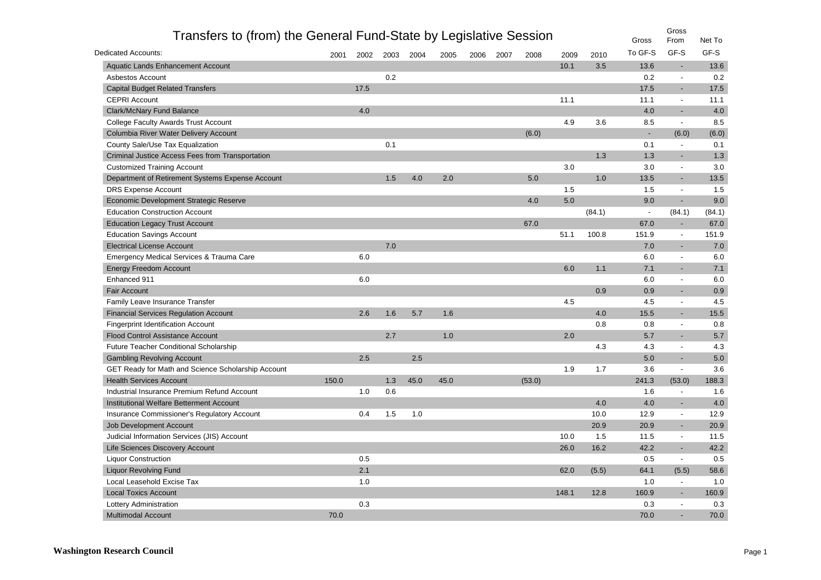| Transfers to (from) the General Fund-State by Legislative Session |       |      |      |      |      |      |      |        |       |        | Gross          | Gross<br>From            | Net To |
|-------------------------------------------------------------------|-------|------|------|------|------|------|------|--------|-------|--------|----------------|--------------------------|--------|
| Dedicated Accounts:                                               | 2001  | 2002 | 2003 | 2004 | 2005 | 2006 | 2007 | 2008   | 2009  | 2010   | To GF-S        | GF-S                     | GF-S   |
| Aquatic Lands Enhancement Account                                 |       |      |      |      |      |      |      |        | 10.1  | 3.5    | 13.6           | $\overline{\phantom{a}}$ | 13.6   |
| Asbestos Account                                                  |       |      | 0.2  |      |      |      |      |        |       |        | 0.2            | $\overline{\phantom{a}}$ | 0.2    |
| <b>Capital Budget Related Transfers</b>                           |       | 17.5 |      |      |      |      |      |        |       |        | 17.5           | $\blacksquare$           | 17.5   |
| <b>CEPRI Account</b>                                              |       |      |      |      |      |      |      |        | 11.1  |        | 11.1           | $\overline{\phantom{a}}$ | 11.1   |
| <b>Clark/McNary Fund Balance</b>                                  |       | 4.0  |      |      |      |      |      |        |       |        | 4.0            |                          | 4.0    |
| College Faculty Awards Trust Account                              |       |      |      |      |      |      |      |        | 4.9   | 3.6    | 8.5            | $\overline{\phantom{a}}$ | 8.5    |
| Columbia River Water Delivery Account                             |       |      |      |      |      |      |      | (6.0)  |       |        | $\blacksquare$ | (6.0)                    | (6.0)  |
| County Sale/Use Tax Equalization                                  |       |      | 0.1  |      |      |      |      |        |       |        | 0.1            | $\overline{\phantom{a}}$ | 0.1    |
| Criminal Justice Access Fees from Transportation                  |       |      |      |      |      |      |      |        |       | 1.3    | 1.3            |                          | 1.3    |
| <b>Customized Training Account</b>                                |       |      |      |      |      |      |      |        | 3.0   |        | 3.0            | $\blacksquare$           | 3.0    |
| Department of Retirement Systems Expense Account                  |       |      | 1.5  | 4.0  | 2.0  |      |      | 5.0    |       | 1.0    | 13.5           | $\overline{\phantom{a}}$ | 13.5   |
| <b>DRS Expense Account</b>                                        |       |      |      |      |      |      |      |        | 1.5   |        | 1.5            | $\blacksquare$           | 1.5    |
| Economic Development Strategic Reserve                            |       |      |      |      |      |      |      | 4.0    | 5.0   |        | 9.0            | $\blacksquare$           | 9.0    |
| <b>Education Construction Account</b>                             |       |      |      |      |      |      |      |        |       | (84.1) | $\blacksquare$ | (84.1)                   | (84.1) |
| <b>Education Legacy Trust Account</b>                             |       |      |      |      |      |      |      | 67.0   |       |        | 67.0           | $\sim$                   | 67.0   |
| <b>Education Savings Account</b>                                  |       |      |      |      |      |      |      |        | 51.1  | 100.8  | 151.9          | $\overline{\phantom{a}}$ | 151.9  |
| <b>Electrical License Account</b>                                 |       |      | 7.0  |      |      |      |      |        |       |        | 7.0            | $\overline{\phantom{a}}$ | 7.0    |
| Emergency Medical Services & Trauma Care                          |       | 6.0  |      |      |      |      |      |        |       |        | 6.0            | $\overline{\phantom{a}}$ | 6.0    |
| <b>Energy Freedom Account</b>                                     |       |      |      |      |      |      |      |        | 6.0   | 1.1    | 7.1            | $\overline{\phantom{a}}$ | 7.1    |
| Enhanced 911                                                      |       | 6.0  |      |      |      |      |      |        |       |        | 6.0            | $\overline{\phantom{a}}$ | 6.0    |
| <b>Fair Account</b>                                               |       |      |      |      |      |      |      |        |       | 0.9    | 0.9            | $\blacksquare$           | 0.9    |
| Family Leave Insurance Transfer                                   |       |      |      |      |      |      |      |        | 4.5   |        | 4.5            | $\blacksquare$           | 4.5    |
| <b>Financial Services Regulation Account</b>                      |       | 2.6  | 1.6  | 5.7  | 1.6  |      |      |        |       | 4.0    | 15.5           | $\overline{\phantom{a}}$ | 15.5   |
| <b>Fingerprint Identification Account</b>                         |       |      |      |      |      |      |      |        |       | 0.8    | 0.8            | $\blacksquare$           | 0.8    |
| <b>Flood Control Assistance Account</b>                           |       |      | 2.7  |      | 1.0  |      |      |        | 2.0   |        | 5.7            |                          | 5.7    |
| <b>Future Teacher Conditional Scholarship</b>                     |       |      |      |      |      |      |      |        |       | 4.3    | 4.3            | $\blacksquare$           | 4.3    |
| <b>Gambling Revolving Account</b>                                 |       | 2.5  |      | 2.5  |      |      |      |        |       |        | 5.0            | $\blacksquare$           | 5.0    |
| GET Ready for Math and Science Scholarship Account                |       |      |      |      |      |      |      |        | 1.9   | 1.7    | 3.6            | $\overline{\phantom{a}}$ | 3.6    |
| <b>Health Services Account</b>                                    | 150.0 |      | 1.3  | 45.0 | 45.0 |      |      | (53.0) |       |        | 241.3          | (53.0)                   | 188.3  |
| Industrial Insurance Premium Refund Account                       |       | 1.0  | 0.6  |      |      |      |      |        |       |        | 1.6            | $\blacksquare$           | 1.6    |
| Institutional Welfare Betterment Account                          |       |      |      |      |      |      |      |        |       | 4.0    | 4.0            | $\blacksquare$           | 4.0    |
| Insurance Commissioner's Regulatory Account                       |       | 0.4  | 1.5  | 1.0  |      |      |      |        |       | 10.0   | 12.9           | $\blacksquare$           | 12.9   |
| Job Development Account                                           |       |      |      |      |      |      |      |        |       | 20.9   | 20.9           |                          | 20.9   |
| Judicial Information Services (JIS) Account                       |       |      |      |      |      |      |      |        | 10.0  | 1.5    | 11.5           | $\blacksquare$           | 11.5   |
| Life Sciences Discovery Account                                   |       |      |      |      |      |      |      |        | 26.0  | 16.2   | 42.2           |                          | 42.2   |
| <b>Liquor Construction</b>                                        |       | 0.5  |      |      |      |      |      |        |       |        | 0.5            | $\overline{\phantom{a}}$ | 0.5    |
| <b>Liquor Revolving Fund</b>                                      |       | 2.1  |      |      |      |      |      |        | 62.0  | (5.5)  | 64.1           | (5.5)                    | 58.6   |
| Local Leasehold Excise Tax                                        |       | 1.0  |      |      |      |      |      |        |       |        | 1.0            | $\overline{\phantom{a}}$ | 1.0    |
| <b>Local Toxics Account</b>                                       |       |      |      |      |      |      |      |        | 148.1 | 12.8   | 160.9          |                          | 160.9  |
| Lottery Administration                                            |       | 0.3  |      |      |      |      |      |        |       |        | 0.3            | $\blacksquare$           | 0.3    |
| <b>Multimodal Account</b>                                         | 70.0  |      |      |      |      |      |      |        |       |        | 70.0           |                          | 70.0   |